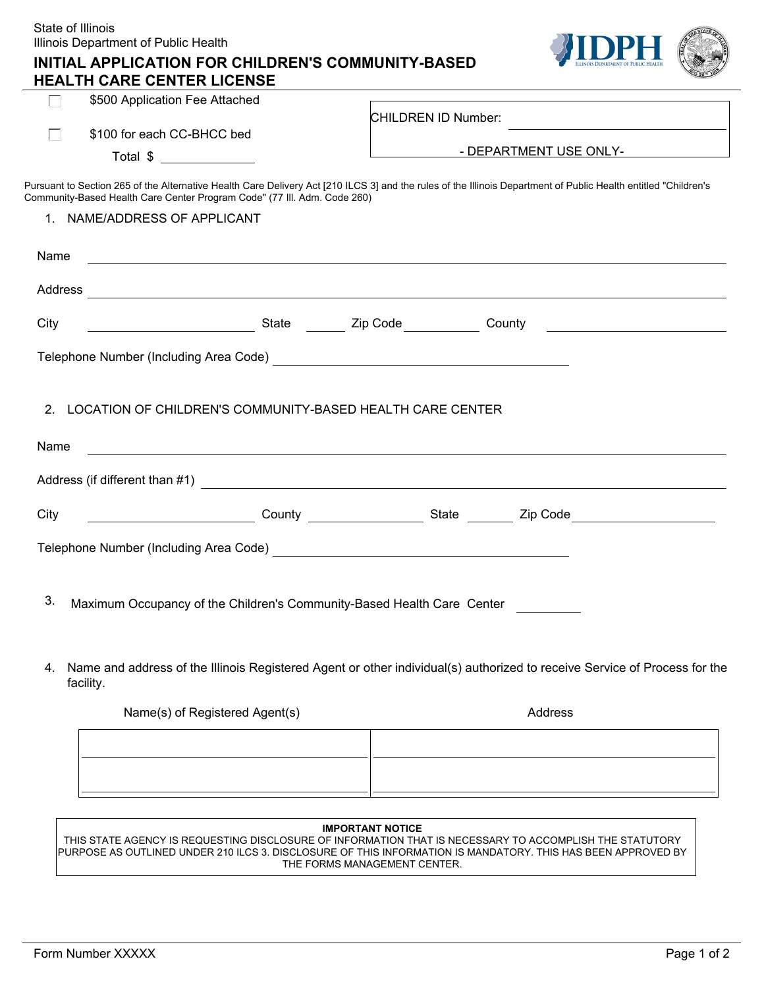| State of Illinois | Illinois Department of Public Health                                                                                                                                                                                                                                                                                  |                                                                                                                                                                                                                                |
|-------------------|-----------------------------------------------------------------------------------------------------------------------------------------------------------------------------------------------------------------------------------------------------------------------------------------------------------------------|--------------------------------------------------------------------------------------------------------------------------------------------------------------------------------------------------------------------------------|
|                   | INITIAL APPLICATION FOR CHILDREN'S COMMUNITY-BASED<br><b>HEALTH CARE CENTER LICENSE</b>                                                                                                                                                                                                                               |                                                                                                                                                                                                                                |
| $\mathbf{L}$      | \$500 Application Fee Attached                                                                                                                                                                                                                                                                                        |                                                                                                                                                                                                                                |
|                   | \$100 for each CC-BHCC bed                                                                                                                                                                                                                                                                                            | CHILDREN ID Number:                                                                                                                                                                                                            |
|                   | Total $\frac{1}{2}$ $\frac{1}{2}$ $\frac{1}{2}$ $\frac{1}{2}$ $\frac{1}{2}$ $\frac{1}{2}$ $\frac{1}{2}$ $\frac{1}{2}$ $\frac{1}{2}$ $\frac{1}{2}$ $\frac{1}{2}$ $\frac{1}{2}$ $\frac{1}{2}$ $\frac{1}{2}$ $\frac{1}{2}$ $\frac{1}{2}$ $\frac{1}{2}$ $\frac{1}{2}$ $\frac{1}{2}$ $\frac{1}{2}$ $\frac{1}{2}$ $\frac{1$ | - DEPARTMENT USE ONLY-                                                                                                                                                                                                         |
|                   |                                                                                                                                                                                                                                                                                                                       |                                                                                                                                                                                                                                |
|                   | Community-Based Health Care Center Program Code" (77 III. Adm. Code 260)                                                                                                                                                                                                                                              | Pursuant to Section 265 of the Alternative Health Care Delivery Act [210 ILCS 3] and the rules of the Illinois Department of Public Health entitled "Children's                                                                |
|                   | 1. NAME/ADDRESS OF APPLICANT                                                                                                                                                                                                                                                                                          |                                                                                                                                                                                                                                |
| Name              |                                                                                                                                                                                                                                                                                                                       | <u> 1989 - Johann Stoff, amerikansk politiker (* 1908)</u>                                                                                                                                                                     |
|                   |                                                                                                                                                                                                                                                                                                                       |                                                                                                                                                                                                                                |
| City              |                                                                                                                                                                                                                                                                                                                       |                                                                                                                                                                                                                                |
|                   | Telephone Number (Including Area Code)<br><u> and Code</u> and Content and Content and Content and Content and Content and Content and Content and Content and Co                                                                                                                                                     |                                                                                                                                                                                                                                |
|                   |                                                                                                                                                                                                                                                                                                                       |                                                                                                                                                                                                                                |
| 2 <sub>1</sub>    | LOCATION OF CHILDREN'S COMMUNITY-BASED HEALTH CARE CENTER                                                                                                                                                                                                                                                             |                                                                                                                                                                                                                                |
| Name              |                                                                                                                                                                                                                                                                                                                       |                                                                                                                                                                                                                                |
|                   |                                                                                                                                                                                                                                                                                                                       |                                                                                                                                                                                                                                |
|                   |                                                                                                                                                                                                                                                                                                                       |                                                                                                                                                                                                                                |
| City              |                                                                                                                                                                                                                                                                                                                       | County County County State County State County State County State County County County State County County County County County County County County County County County County County County County County County County Cou |
|                   |                                                                                                                                                                                                                                                                                                                       |                                                                                                                                                                                                                                |
|                   |                                                                                                                                                                                                                                                                                                                       |                                                                                                                                                                                                                                |
| 3.                |                                                                                                                                                                                                                                                                                                                       |                                                                                                                                                                                                                                |
|                   | Maximum Occupancy of the Children's Community-Based Health Care Center                                                                                                                                                                                                                                                |                                                                                                                                                                                                                                |
|                   |                                                                                                                                                                                                                                                                                                                       |                                                                                                                                                                                                                                |
| 4.                | facility.                                                                                                                                                                                                                                                                                                             | Name and address of the Illinois Registered Agent or other individual(s) authorized to receive Service of Process for the                                                                                                      |
|                   | Name(s) of Registered Agent(s)                                                                                                                                                                                                                                                                                        | Address                                                                                                                                                                                                                        |
|                   |                                                                                                                                                                                                                                                                                                                       |                                                                                                                                                                                                                                |
|                   |                                                                                                                                                                                                                                                                                                                       |                                                                                                                                                                                                                                |
|                   |                                                                                                                                                                                                                                                                                                                       |                                                                                                                                                                                                                                |
|                   |                                                                                                                                                                                                                                                                                                                       |                                                                                                                                                                                                                                |
|                   |                                                                                                                                                                                                                                                                                                                       | <b>IMPORTANT NOTICE</b>                                                                                                                                                                                                        |

THIS STATE AGENCY IS REQUESTING DISCLOSURE OF INFORMATION THAT IS NECESSARY TO ACCOMPLISH THE STATUTORY PURPOSE AS OUTLINED UNDER 210 ILCS 3. DISCLOSURE OF THIS INFORMATION IS MANDATORY. THIS HAS BEEN APPROVED BY THE FORMS MANAGEMENT CENTER.

 $\overline{\phantom{a}}$